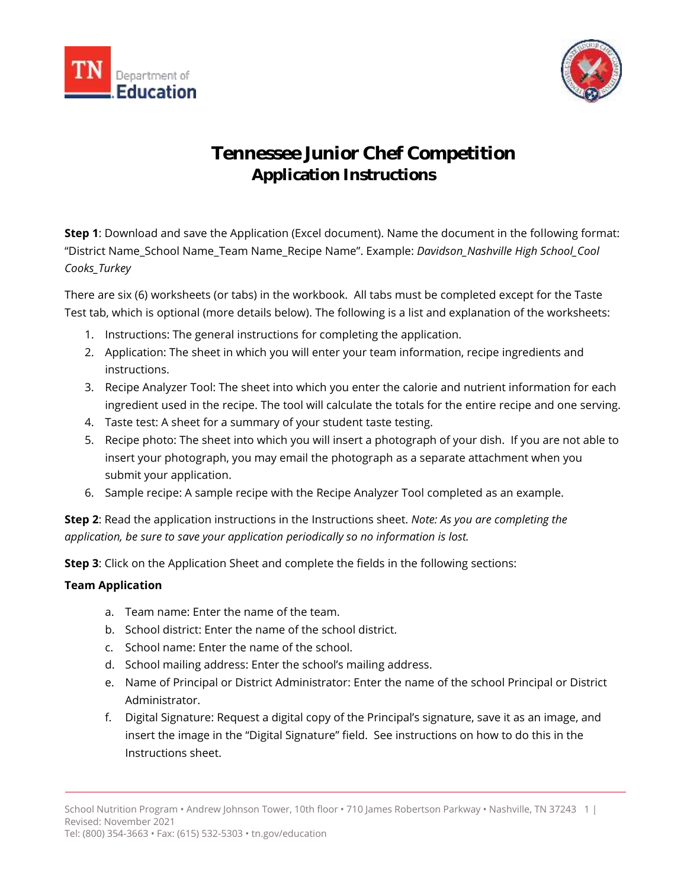



# **Tennessee Junior Chef Competition Application Instructions**

**Step 1**: Download and save the Application (Excel document). Name the document in the following format: "District Name\_School Name\_Team Name\_Recipe Name". Example: *Davidson\_Nashville High School\_Cool Cooks\_Turkey*

There are six (6) worksheets (or tabs) in the workbook. All tabs must be completed except for the Taste Test tab, which is optional (more details below). The following is a list and explanation of the worksheets:

- 1. Instructions: The general instructions for completing the application.
- 2. Application: The sheet in which you will enter your team information, recipe ingredients and instructions.
- 3. Recipe Analyzer Tool: The sheet into which you enter the calorie and nutrient information for each ingredient used in the recipe. The tool will calculate the totals for the entire recipe and one serving.
- 4. Taste test: A sheet for a summary of your student taste testing.
- 5. Recipe photo: The sheet into which you will insert a photograph of your dish. If you are not able to insert your photograph, you may email the photograph as a separate attachment when you submit your application.
- 6. Sample recipe: A sample recipe with the Recipe Analyzer Tool completed as an example.

**Step 2**: Read the application instructions in the Instructions sheet. *Note: As you are completing the application, be sure to save your application periodically so no information is lost.*

**Step 3**: Click on the Application Sheet and complete the fields in the following sections:

# **Team Application**

- a. Team name: Enter the name of the team.
- b. School district: Enter the name of the school district.
- c. School name: Enter the name of the school.
- d. School mailing address: Enter the school's mailing address.
- e. Name of Principal or District Administrator: Enter the name of the school Principal or District Administrator.
- f. Digital Signature: Request a digital copy of the Principal's signature, save it as an image, and insert the image in the "Digital Signature" field. See instructions on how to do this in the Instructions sheet.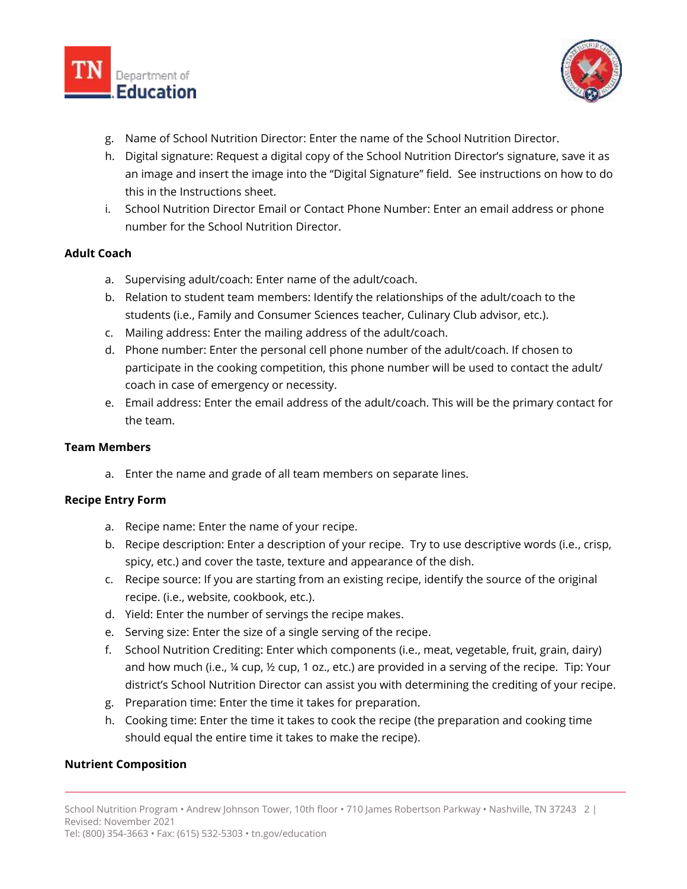



- g. Name of School Nutrition Director: Enter the name of the School Nutrition Director.
- h. Digital signature: Request a digital copy of the School Nutrition Director's signature, save it as an image and insert the image into the "Digital Signature" field. See instructions on how to do this in the Instructions sheet.
- i. School Nutrition Director Email or Contact Phone Number: Enter an email address or phone number for the School Nutrition Director.

# **Adult Coach**

- a. Supervising adult/coach: Enter name of the adult/coach.
- b. Relation to student team members: Identify the relationships of the adult/coach to the students (i.e., Family and Consumer Sciences teacher, Culinary Club advisor, etc.).
- c. Mailing address: Enter the mailing address of the adult/coach.
- d. Phone number: Enter the personal cell phone number of the adult/coach. If chosen to participate in the cooking competition, this phone number will be used to contact the adult/ coach in case of emergency or necessity.
- e. Email address: Enter the email address of the adult/coach. This will be the primary contact for the team.

#### **Team Members**

a. Enter the name and grade of all team members on separate lines.

#### **Recipe Entry Form**

- a. Recipe name: Enter the name of your recipe.
- b. Recipe description: Enter a description of your recipe. Try to use descriptive words (i.e., crisp, spicy, etc.) and cover the taste, texture and appearance of the dish.
- c. Recipe source: If you are starting from an existing recipe, identify the source of the original recipe. (i.e., website, cookbook, etc.).
- d. Yield: Enter the number of servings the recipe makes.
- e. Serving size: Enter the size of a single serving of the recipe.
- f. School Nutrition Crediting: Enter which components (i.e., meat, vegetable, fruit, grain, dairy) and how much (i.e., ¼ cup, ½ cup, 1 oz., etc.) are provided in a serving of the recipe. Tip: Your district's School Nutrition Director can assist you with determining the crediting of your recipe.
- g. Preparation time: Enter the time it takes for preparation.
- h. Cooking time: Enter the time it takes to cook the recipe (the preparation and cooking time should equal the entire time it takes to make the recipe).

#### **Nutrient Composition**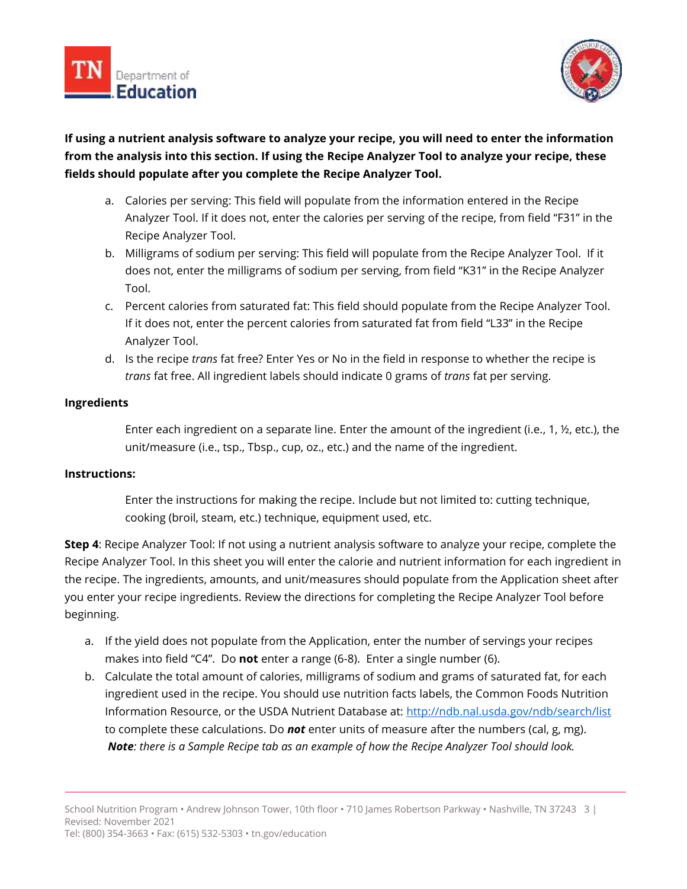



# **If using a nutrient analysis software to analyze your recipe, you will need to enter the information from the analysis into this section. If using the Recipe Analyzer Tool to analyze your recipe, these fields should populate after you complete the Recipe Analyzer Tool.**

- a. Calories per serving: This field will populate from the information entered in the Recipe Analyzer Tool. If it does not, enter the calories per serving of the recipe, from field "F31" in the Recipe Analyzer Tool.
- b. Milligrams of sodium per serving: This field will populate from the Recipe Analyzer Tool. If it does not, enter the milligrams of sodium per serving, from field "K31" in the Recipe Analyzer Tool.
- c. Percent calories from saturated fat: This field should populate from the Recipe Analyzer Tool. If it does not, enter the percent calories from saturated fat from field "L33" in the Recipe Analyzer Tool.
- d. Is the recipe *trans* fat free? Enter Yes or No in the field in response to whether the recipe is *trans* fat free. All ingredient labels should indicate 0 grams of *trans* fat per serving.

# **Ingredients**

Enter each ingredient on a separate line. Enter the amount of the ingredient (i.e., 1, ½, etc.), the unit/measure (i.e., tsp., Tbsp., cup, oz., etc.) and the name of the ingredient.

# **Instructions:**

Enter the instructions for making the recipe. Include but not limited to: cutting technique, cooking (broil, steam, etc.) technique, equipment used, etc.

**Step 4**: Recipe Analyzer Tool: If not using a nutrient analysis software to analyze your recipe, complete the Recipe Analyzer Tool. In this sheet you will enter the calorie and nutrient information for each ingredient in the recipe. The ingredients, amounts, and unit/measures should populate from the Application sheet after you enter your recipe ingredients. Review the directions for completing the Recipe Analyzer Tool before beginning.

- a. If the yield does not populate from the Application, enter the number of servings your recipes makes into field "C4". Do **not** enter a range (6-8). Enter a single number (6).
- b. Calculate the total amount of calories, milligrams of sodium and grams of saturated fat, for each ingredient used in the recipe. You should use nutrition facts labels, the Common Foods Nutrition Information Resource, or the USDA Nutrient Database at:<http://ndb.nal.usda.gov/ndb/search/list> to complete these calculations. Do *not* enter units of measure after the numbers (cal, g, mg). *Note: there is a Sample Recipe tab as an example of how the Recipe Analyzer Tool should look.*